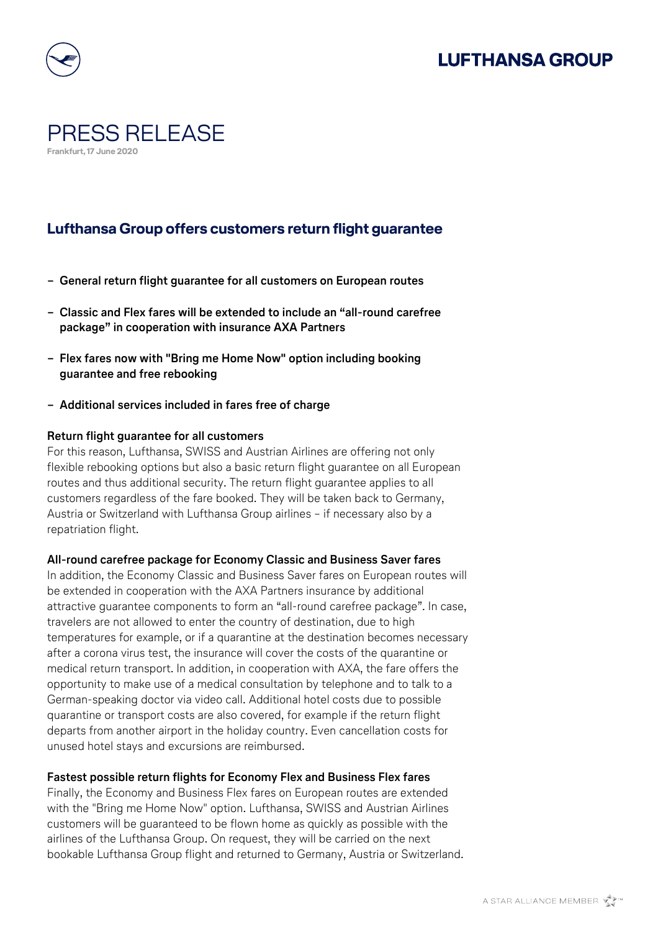## **LUFTHANSA GROUP**



## PRESS RELEASE **Frankfurt, 17 June 2020**

### **Lufthansa Group offers customers return flight guarantee**

- **− General return flight guarantee for all customers on European routes**
- **− Classic and Flex fares will be extended to include an "all-round carefree package" in cooperation with insurance AXA Partners**
- **− Flex fares now with "Bring me Home Now" option including booking guarantee and free rebooking**
- **− Additional services included in fares free of charge**

#### **Return flight guarantee for all customers**

For this reason, Lufthansa, SWISS and Austrian Airlines are offering not only flexible rebooking options but also a basic return flight guarantee on all European routes and thus additional security. The return flight guarantee applies to all customers regardless of the fare booked. They will be taken back to Germany, Austria or Switzerland with Lufthansa Group airlines – if necessary also by a repatriation flight.

#### **All-round carefree package for Economy Classic and Business Saver fares**

In addition, the Economy Classic and Business Saver fares on European routes will be extended in cooperation with the AXA Partners insurance by additional attractive guarantee components to form an "all-round carefree package". In case, travelers are not allowed to enter the country of destination, due to high temperatures for example, or if a quarantine at the destination becomes necessary after a corona virus test, the insurance will cover the costs of the quarantine or medical return transport. In addition, in cooperation with AXA, the fare offers the opportunity to make use of a medical consultation by telephone and to talk to a German-speaking doctor via video call. Additional hotel costs due to possible quarantine or transport costs are also covered, for example if the return flight departs from another airport in the holiday country. Even cancellation costs for unused hotel stays and excursions are reimbursed.

#### **Fastest possible return flights for Economy Flex and Business Flex fares**

Finally, the Economy and Business Flex fares on European routes are extended with the "Bring me Home Now" option. Lufthansa, SWISS and Austrian Airlines customers will be guaranteed to be flown home as quickly as possible with the airlines of the Lufthansa Group. On request, they will be carried on the next bookable Lufthansa Group flight and returned to Germany, Austria or Switzerland.